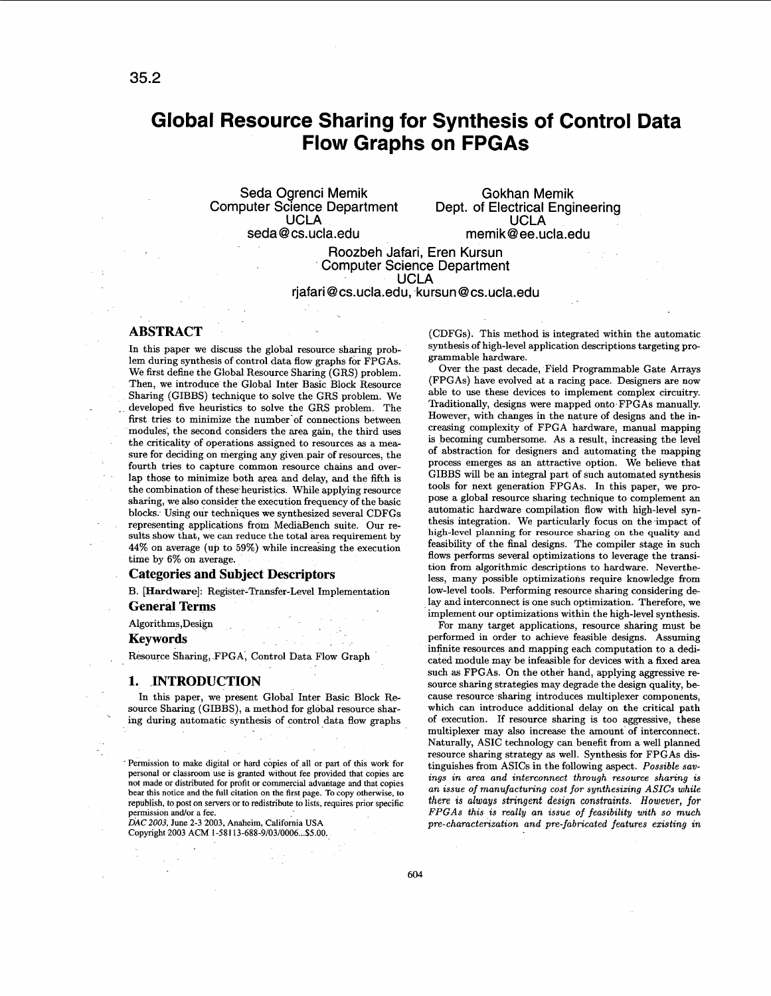# **Global Resource Sharing for Synthesis of Control Data Flow Graphs on FPGAs**

Computer Science Department Dept. of Electrical<br>UCLA UCLA<br>seda@cs.ucla.edu memik@ee.u

Seda Ogrenci Memik<br>
puter Science Department Dept. of Electrical Engineering memik@ee.ucla.edu

> Roozbeh Jafari, Eren Kursun Computer Science Department UCLA rjafari@[cs.ucla.edu,](http://cs.ucla.edu) kursun@[cs.ucla.edu](http://cs.ucla.edu)

# **ABSTRACT**

In this paper we discuss the global resource sharing problem during synthesis of control data flow graphs for FPGAs. We first define the Global Resource Sharing (GRS) problem. Then, we introduce the Global Inter Basic Block Resource Sharing (GIBBS) technique to solve the GRS problem. We developed five heuristics to solve the GRS problem. The first tries to minimize the number of connections between modules; the second considers the area gain, the third uses the criticality of operations assigned to resources **as** a measure for deciding on merging any given pair of resources, the fourth tries to capture common resource chains and overlap those to minimize both area and delay, and the fifth is the combination of these heuristics. While applying resource sharing, we also consider the execution frequency of the basic blocks. Using our techniques we synthesized several CDFGs representing applications from MediaBench suite. Our re- sults show that, we can reduce the total area requirement **by 44%** on average (up to **59%)** while increaking the execution time by **6%** on average.

#### **Categories and Subject Descriptors**

B. **[Hardware]:** Register-Transfer-Level Implementation

## **General Terms**

Algorithms,Design

#### **Keywords**

Resource Sharing, FPGA, Control Data Flow Graph

## **1. INTRODUCTION**

In this paper, we present Global Inter Basic Block Resource Sharing (GIBBS), a method for global resource sharing during automatic synthesis of control data flow graphs

Permission to make digital or hard copies of all or part of this work for personal or classroom use is granted without fee provided that copies are not made or distributed for profit or commercial advantage and that copies<br>bear this notice and the full citation on the first page. To copy otherwise, to republish, to post on servers or to redistribute to lists, requires prior specific permission and/or a fee.

DAC 2003. June 2-3 2003, Anaheim, Califomia USA Copyright 2003 ACM 1-58113-688-9/03/0006... \$5.00.

(CDFGs). This method **is** integrated within the automatic synthesis of high-level application descriptions targeting programmable hardware.

Over the past decade, Field Programmable Gate Arrays (FPGAs) have evolved at a racing pace. Designers are now able to use these devices to implement complex circuitry. Traditionally, designs were mapped onto FPGAs manually. However, with changes in the nature of designs and the increasing complexity of FPGA hardware, manual mapping is becoming cumbersome. As a result, increasing the level of abstraction for designers and automating the mapping process emerges **as** an attractive option. We believe that GIBBS will be an integral part of such automated synthesis tools for next generation FPGAs. In this paper, we propose a global resource sharing technique to complement an automatic hardware compilation flow with high-level synthesis integration. We particularly focus on the impact of high-level **planning** for resource sharing **on** the quality **and**  feasibility of the final designs. The compiler stage **in** such flows performs several optimizations to leverage the transition from algorithmic descriptions to hardware. Nevertheless, many possible optimizations require knowledge from low-level tools. Performing resource sharing considering delay and interconnect is one such optimization. Therefore, we implement our optimizations within the high-level synthesis.

For many target applications, resource sharing must be performed in order to achieve feasible designs. Assuming infinite resources and mapping each computation to a dedicated module may be infeasible for devices with a fixed area such **as** FPGAs. On the other hand, applying aggressive **re**source sharing strategies may degrade the design quality, because resource sharing introduces multiplexer components, which can introduce additional delay on the critical path of execution. If resource sharing is too aggressive, these multiplexer may also increase the amount of interconnect. Naturally, ASIC technology can benefit from a well planned resource sharing strategy **as** well. Synthesis for FPGAs distinguishes from ASICs **in** the following aspect. *Possable sauings in area and interconnect through resource sharing is* an issue of manufacturing cost for synthesizing ASICs while there is always stringent design constraints. However, for *FPGAs thas* **2s** *really an assue of feasabalaty wath* **so** *much*  pre-characterization and pre-fabricated features existing in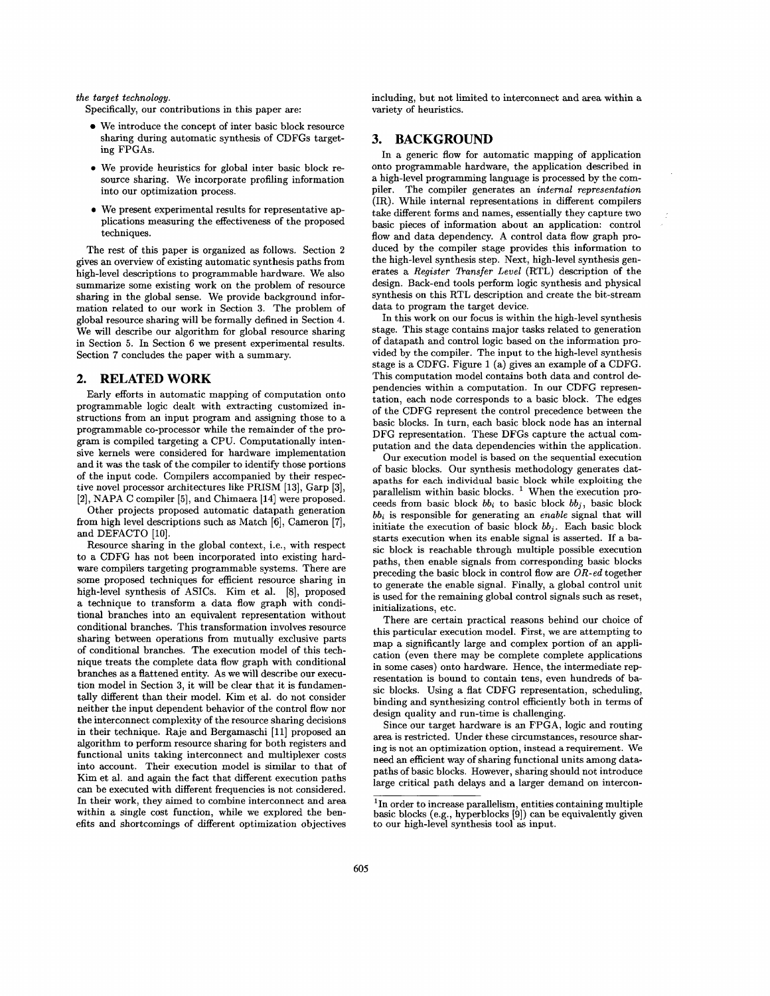#### *the target technology.*

Specifically, our contributions in this paper are:

- We introduce the concept of inter basic block resource sharing during automatic synthesis of CDFGs targeting FPGAs.
- *0* We provide heuristics for global inter basic block resource sharing. We incorporate profling information into our optimization process.
- *0* We present experimental results for representative applications measuring the effectiveness of the proposed techniques.

The rest of this paper is organized **as** follows. Section 2 gives an overview of existing automatic synthesis paths from high-level descriptions to programmable hardware. We also summarize some existing work on the problem of resource sharing in the global sense. We provide background information related to our work in Section **3.** The problem of global resource sharing will be formally defined in Section **4.**  We will describe our algorithm for global resource sharing in Section *5.* In Section 6 we present experimental results. Section **7** concludes the paper with a summary.

## **2. RELATED WORK**

Early efforts in automatic mapping of computation onto programmable logic dealt with extracting customized instructions from **an** input program and assigning those to a programmable co-processor while the remainder of the program is compiled targeting a CPU. Computationally intensive kernels were considered for hardware implementation and it was the task of the compiler to identify those portions of the input code. Compilers accompanied by their respective novel processor architectures like PRISM **[13],** Garp **[3],**  [2], NAPA C compiler **[5],** and Chimaera **1141** were proposed.

Other projects proposed automatic datapath generation from high level descriptions such **as** Match **[6],** Cameron **[7],**  and DEFACTO [10].

Resource sharing in the global context, i.e., with respect to a CDFG has not been incorporated into existing hardware compilers targeting programmable systems. There are some proposed techniques for efficient resource sharing in high-level synthesis of ASICs. Kim et al. [8], proposed a technique to transform a data flow graph with conditional branches into an equivalent representation without conditional branches. This transformation involves resource sharing between operations from mutually exclusive parts of conditional branches. The execution model of this technique treats the complete data flow graph with conditional branches **as** a flattened entity. As we will describe our execution model in Section **3,** it will be clear that it is fundamentally different than their model. Kim et al. do not consider neither the input dependent behavior of the control flow nor the interconnect complexity of the resource sharing decisions in their technique. Raje and Bergamaschi **[ll]** proposed an algorithm to perform resource sharing for both registers and functional units taking interconnect and multiplexer costs into account. Their execution model is similar to that of Kim et al. and again the fact that different execution paths can be executed with different frequencies is not considered. In their work, they aimed to combine interconnect and area within a single cost function, while we explored the benefits and shortcomings of different optimization objectives

including, but not limited to interconnect and area within a variety of heuristics.

## **3. BACKGROUND**

In a generic flow for automatic mapping of application onto programmable hardware, the application described in a high-level programming language is processed by the compiler. The compiler generates an *internal representation*  (IR). While internal representations in different compilers take different forms and names, essentially they capture two basic pieces of information about an application: control flow and data dependency. A control data flow graph produced by the compiler stage provides this information to the high-level synthesis step. Next, high-level synthesis generates a *Register Transfer Level* (RTL) description of the design. Back-end tools perform logic synthesis and physical synthesis on this RTL description and create the bit-stream data to program the target device.

In this work on our focus is within the high-level synthesis stage. This stage contains major tasks related to generation of datapath and control logic based on the information provided by the compiler. The input to the high-level synthesis stage is a CDFG. Figure **1** (a) gives an example of a CDFG. This computation model contains both data and control dependencies within a computation. In our CDFG representation, each node corresponds to a basic block. The edges of the CDFG represent the control precedence between the basic blocks. In turn, each basic block node has an internal DFG representation. These DFGs capture the actual computation and the data dependencies within the application.

Our execution model is based on the sequential execution of basic blocks. Our synthesis methodology generates datapaths for each individual basic block while exploiting the parallelism within basic blocks. ' When the execution proceeds from basic block *bbi* to basic block *bbj,* basic block *bbi* is responsible for generating an *enable* signal that will initiate the execution of basic block *bbj.* Each basic block starts execution when its enable signal is asserted. If a basic block is reachable through multiple possible execution paths, then enable signals from corresponding basic blocks preceding the basic block in control flow are *OR-ed* together to generate the enable signal. Finally, a global control unit is used for the remaining global control signals such **as** reset, initializations, etc.

There are certain practical reasons behind our choice of this particular execution model. First, we are attempting to map a significantly large and complex portion of an application (even there may be complete complete applications in some cases) onto hardware. Hence, the intermediate representation is bound to contain tens, even hundreds of basic blocks. Using a flat CDFG representation, scheduling, binding and synthesizing control efficiently both in terms of design quality and run-time is challenging.

Since our target hardware is an FPGA, logic and routing area is restricted. Under these circumstances, resource sharing is not an optimization option, instead a requirement. We need an efficient way of sharing functional units among datapaths of basic blocks. However, sharing should not introduce large critical path delays and a larger demand on intercon-

<sup>&</sup>lt;sup>1</sup>In order to increase parallelism, entities containing multiple basic blocks (e.g., hyperblocks 191) can be equivalently given to our high-level synthesis tool **as** input.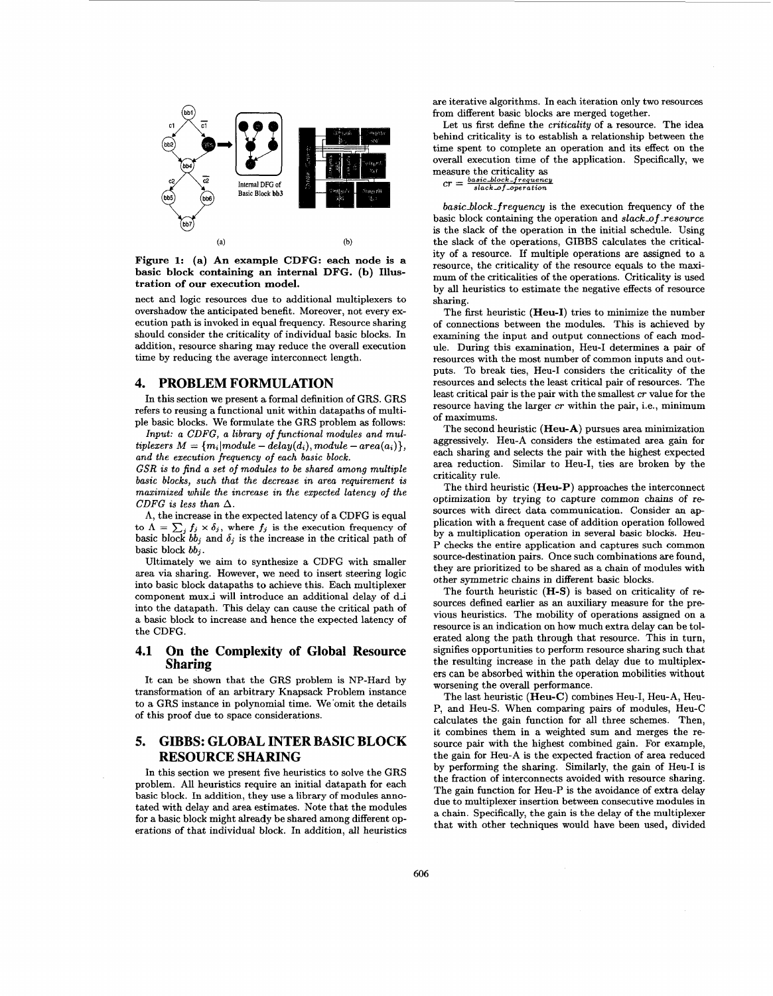

**Figure 1: (a) An example CDFG: each node is a basic block containing an internal DFG. (b) Illustration of our execution model.** 

nect and logic resources due to additional multiplexers to overshadow the anticipated benefit. Moreover, not every execution path is invoked in equal frequency. Resource sharing should consider the criticality of individual basic blocks. In addition, resource sharing may reduce the overall execution time by reducing the average interconnect length.

## **4. PROBLEM FORMULATION**

In this section we present a formal definition of GRS. GRS refers to reusing a functional unit within datapaths of multiple basic blocks. We formulate the GRS problem **as** follows:

*Input: a CDFG, a library* of *functional modules and mul-* $$ *and the execution frequency of each basic block.* 

*GSR is to find a set of modules to be shared among multiple basic blocks, such that the decrease in area requirement is maximized while the increase in the expected latency of the CDFG is less than*  $\Delta$ .

**A,** the increase in the expected latency of a CDFG is equal to  $\Lambda = \sum_i f_j \times \delta_j$ , where  $f_j$  is the execution frequency of basic block  $bb_j$  and  $\delta_j$  is the increase in the critical path of basic block *bbj* .

Ultimately we aim to synthesize a CDFG with smaller area via sharing. However, we need to insert steering logic into basic block datapaths to achieve this. Each multiplexer component muxi will introduce an additional delay of di into the datapath. This delay can cause the critical path of a basic block to increase and hence the expected latency of the CDFG.

## **4.1 On the Complexity of Global Resource Sharing**

It can be shown that the GRS problem is NP-Hard by transformation of an arbitrary Knapsack Problem instance to a GRS instance in polynomial time. We'omit the details of this proof due to space considerations.

# **5. GIBBS: GLOBAL INTER BASIC BLOCK RESOURCE SHARING**

In this section we present five heuristics to solve the GRS problem. All heuristics require an initial datapath for each basic block. In addition, they use **a** library of modules annotated with delay and area estimates. Note that the modules for a basic block might already be shared among different operations of that individual block. In addition, all heuristics are iterative algorithms. In each iteration only two resources from different basic blocks are merged together.

Let us fist defme the *criticality* of a resource. The idea behind criticality is to establish a relationship between the time spent to complete an operation and its effect on the overall execution time of the application. Specifically, we measure the criticality as<br> $cr = \frac{basic\_block\_frequency}{slack\_of\_operation}$ 

*basicblock-f requency* is the execution frequency of the basic block containing the operation and *slack of resource* is the slack of the operation in the initial schedule. Using the slack of the operations, GIBBS calculates the criticality of a resource. If multiple operations axe assigned to a resource, the criticality of the resource equals to the maximum of the criticalities of the operations. Criticality is used by all heuristics to estimate the negative effects of resource sharing.

The fist heuristic **(Heu-I)** tries to minimize the number of connections between the modules. This is achieved by examining the input and output connections of each module. During this examination, Heu-I determines a pair of resources with the most number of common inputs and outputs. To break ties, Heu-I considers the criticality of the resources and selects the least critical pair of resources. The least critical pair is the pair with the smallest *cr* value for the resource having the larger *cr* within the pair, i.e., minimum of maximums.

The second heuristic **(Heu-A)** pursues area minimization aggressively. Heu-A considers the estimated area gain for each sharing and selects the pair with the highest expected area reduction. Similar to Heu-I, ties are broken by the criticality rule.

The third heuristic **(Heu-P)** approaches the interconnect optimization by trying to capture common chains of resources with direct data communication. Consider an application with a frequent case of addition operation followed by a multiplication operation in several basic blocks. Heu-P checks the entire application and captures such common source-destination pairs. Once such combinations are found, they are prioritized to be shared **as** a chain of modules with other symmetric chains in different basic blocks.

The fourth heuristic **(H-S)** is based on criticality of resources defined earlier **as** an auxiliary measure for the previous heuristics. The mobility of operations assigned on a resource is an indication on how much extra delay can be tolerated along the path through that resource. This in turn, signifies opportunities to perform resource sharing such that the resulting increase in the path delay due to multiplexers can be absorbed within the operation mobilities without worsening the overall performance.

The last heuristic **(Heu-C)** combines Heu-I, Heu-A, Heu-P, and Heu-S. When comparing pairs of modules, Heu-C calculates the gain function for all three schemes. Then, it combines them in a weighted sum and merges the resource pair with the highest combined gain. For example, the gain for Heu-A is the expected fraction of area reduced by performing the sharing. Similarly, the gain of Heu-I is the fraction of interconnects avoided with resource sharing. The gain function for Heu-P is the avoidance of extra delay due to multiplexer insertion between consecutive modules in a chain. Specifically, the gain is the delay of the multiplexer that with other techniques would have been used, divided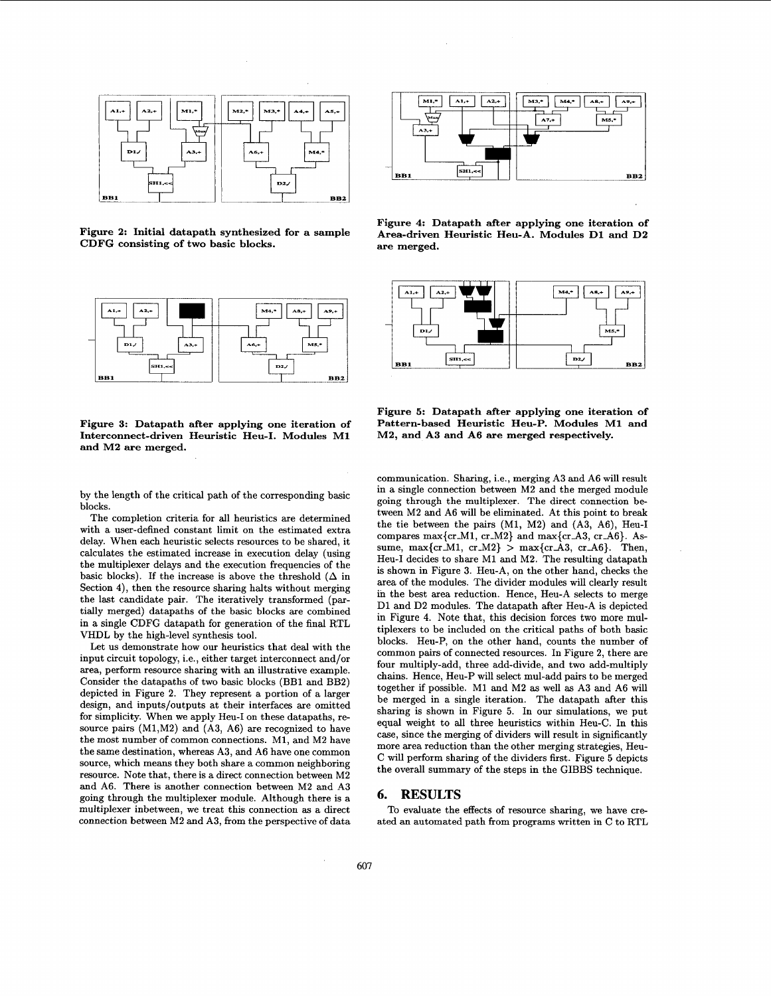

**Figure 2: Initial datapath synthesized for a sample CDFG consisting of two basic blocks.** 

![](_page_3_Figure_2.jpeg)

**Figure 3: Datapath after applying one iteration of Interconnect-driven Heuristic Heu-I. Modules M1 and M2 are merged.** 

by the length of the critical path of the corresponding basic blocks.

The completion criteria for all heuristics are determined with a user-defined constant limit on the estimated extra delay. When each heuristic selects resources to be shared, it calculates the estimated increase in execution delay (using the multiplexer delays and the execution frequencies of the basic blocks). If the increase is above the threshold  $(\Delta$  in Section **4),** then the resource sharing halts without merging the last candidate pair. The iteratively transformed (partially merged) datapaths of the basic blocks are combined in a single CDFG datapath for generation of the final RTL VHDL by the high-level synthesis tool.

Let us demonstrate how our heuristics that deal with the input circuit topology, i.e., either target interconnect and/or area, perform resource sharing with an illustrative example. Consider the datapaths of two basic blocks (BB1 and BB2) depicted in Figure 2. They represent a portion of a larger design, and inputs/outputs at their interfaces are omitted for simplicity. When we apply Heu-I on these datapaths, resource pairs (Ml,M2) and (A3, A6) are recognized to have the most number of common connections. M1, and M2 have the same destination, whereas A3, and A6 have one common source, which means they both share a common neighboring resource. Note that, there is a direct connection between M2 and A6. There is another connection between M2 and A3 going through the multiplexer module. Although there is **a**  multiplexer inbetween, we treat this connection **as** a direct connection between M2 and A3, from the perspective of data

![](_page_3_Figure_7.jpeg)

**Figure 4: Datapath after applying one iteration of Area-driven Heuristic Heu-A. Modules D1 and D2 are merged.** 

![](_page_3_Figure_9.jpeg)

**Figure 5: Datapath after applying one iteration of Pattern-based Heuristic Heu-P. Modules M1 and M2, and A3 and A6 are merged respectively.** 

communication. Sharing, i.e., merging A3 and A6 will result in a single connection between M2 and the merged module going through the multiplexer. The direct connection between M2 and A6 will be eliminated. At this point to break the tie between the pairs (Ml, M2) and (A3, A6), Heu-I compares  $max{cr.M1, cr.M2}$  and  $max{cr.A3, cr.A6}$ . Assume, max $\{cr.M1, cr.M2\} > \max\{cr.A3, cr.A6\}$ . Then, Heu-I decides to share M1 and M2. The resulting datapath is shown in Figure 3. Heu-A, on the other hand, checks the area of the modules. The divider modules will clearly result in the best area reduction. Hence, Heu-A selects to merge D1 and D2 modules. The datapath after Heu-A is depicted in Figure **4.** Note that, this decision forces two more multiplexers to be included on the critical paths of both basic blocks. Heu-P, on the other hand, counts the number of common pairs of connected resources. In Figure 2, there are four multiply-add, three add-divide, and two add-multiply chains. Hence, Heu-P will select mul-add pairs to be merged together if possible. M1 and M2 **as** well **as** A3 and A6 will be merged in a single iteration. The datapath after this sharing is shown in Figure *5.* In our simulations, we put equal weight to all three heuristics within Heu-C. In this case, since the merging of dividers will result in significantly more area reduction than the other merging strategies, Heu-C will perform sharing of the dividers first. Figure *5* depicts the overall summary of the steps in the GIBBS technique.

## **6. RESULTS**

To evaluate the effects of resource sharing, we have created an automated path from programs written in C to RTL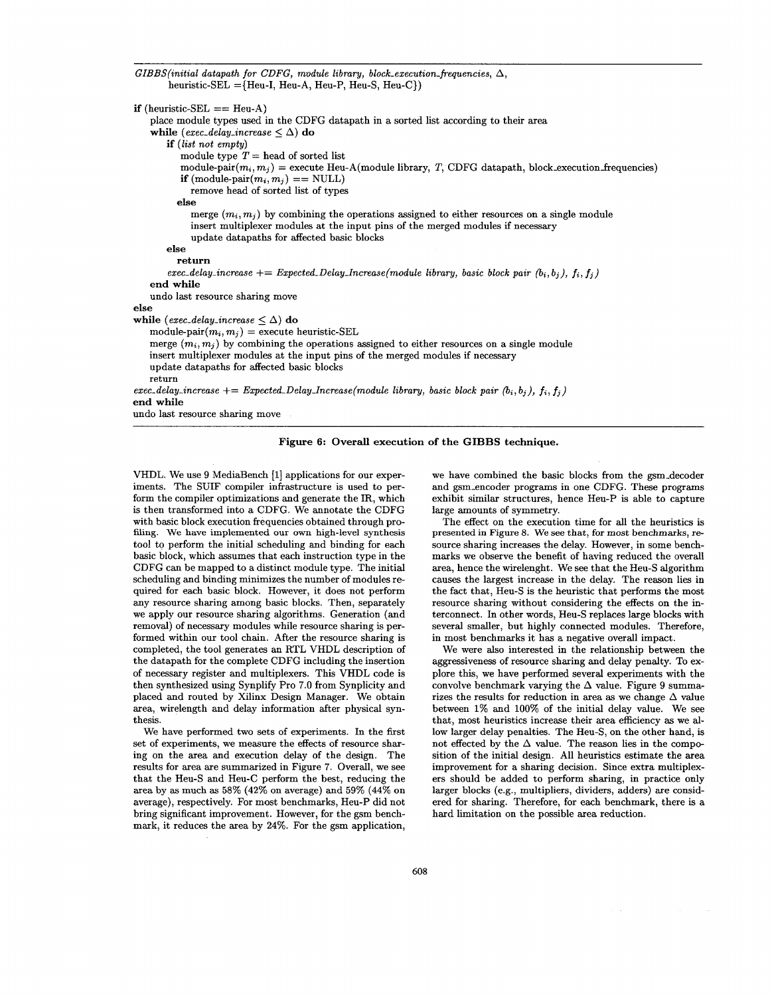| GIBBS(initial datapath for CDFG, module library, block-execution-frequencies, $\Delta$ ,<br>heuristic-SEL $=$ {Heu-I, Heu-A, Heu-P, Heu-S, Heu-C}}                                                                              |
|---------------------------------------------------------------------------------------------------------------------------------------------------------------------------------------------------------------------------------|
| <b>if</b> (heuristic-SEL $==$ Heu-A)                                                                                                                                                                                            |
| place module types used in the CDFG datapath in a sorted list according to their area                                                                                                                                           |
| while (exec_delay_increase $\leq \Delta$ ) do                                                                                                                                                                                   |
| $\mathbf{if}$ (list not empty)                                                                                                                                                                                                  |
| module type $T =$ head of sorted list                                                                                                                                                                                           |
| module-pair $(m_i, m_j)$ = execute Heu-A(module library, T, CDFG datapath, block execution frequencies)                                                                                                                         |
| if $(module-pair(m_i, m_j) == NULL)$                                                                                                                                                                                            |
| remove head of sorted list of types                                                                                                                                                                                             |
| else                                                                                                                                                                                                                            |
| merge $(m_i, m_j)$ by combining the operations assigned to either resources on a single module<br>insert multiplexer modules at the input pins of the merged modules if necessary<br>update datapaths for affected basic blocks |
| else                                                                                                                                                                                                                            |
| return                                                                                                                                                                                                                          |
| exec_delay_increase += Expected_Delay_Increase(module library, basic block pair $(b_i, b_j)$ , $f_i, f_j$ )                                                                                                                     |
| end while                                                                                                                                                                                                                       |
| undo last resource sharing move                                                                                                                                                                                                 |
| else                                                                                                                                                                                                                            |
| while (exec_delay_increase $\leq \Delta$ ) do                                                                                                                                                                                   |
| module-pair $(m_i, m_j)$ = execute heuristic-SEL                                                                                                                                                                                |
| merge $(m_i, m_j)$ by combining the operations assigned to either resources on a single module                                                                                                                                  |
| insert multiplexer modules at the input pins of the merged modules if necessary                                                                                                                                                 |
| update datapaths for affected basic blocks                                                                                                                                                                                      |
| return                                                                                                                                                                                                                          |
| exec_delay_increase += Expected_Delay_Increase(module library, basic block pair $(b_i, b_j)$ , $f_i, f_j$ )                                                                                                                     |
| end while                                                                                                                                                                                                                       |
| undo last resource sharing move                                                                                                                                                                                                 |

#### Figure *6:* Overall execution of the **GIBBS** technique.

VHDL. We use 9 MediaBench **[l]** applications for our experiments. The SUIF compiler infrastructure is used to perform the compiler optimizations and generate the IR, which is then transformed into a CDFG. We annotate the CDFG with basic block execution frequencies obtained through profiling. We have implemented our own high-level synthesis tool to perform the initial scheduling and binding for each basic block, which assumes that each instruction type in the CDFG can be mapped to a distinct module type. The initial scheduling and binding minimizes the number of modules required for each basic block. However, it does not perform any resource sharing among basic blocks. Then, separately we apply our resource sharing algorithms. Generation (and removal) of necessary modules while resource sharing is performed within our tool chain. After the resource sharing **is**  completed, the tool generates an RTL VHDL description of the datapath for the complete CDFG including the insertion of necessary register and multiplexers. This VHDL code is then synthesized using Synplify Pro 7.0 from Synplicity and placed and routed by Xilinx Design Manager. We obtain area, wirelength and delay information after physical synthesis.

We have performed two sets of experiments. In the fist set of experiments, we measure the effects of resource sharing on the area and execution delay of the design. The results for area are summarized in Figure 7. Overall, we see that the Heu-S and Heu-C perform the best, reducing the area by **as** much **as** 58% **(42%** on average) **and** 59% **(44%** on average), respectively. For most benchmarks, Heu-P did not bring significant improvement. However, for the gsm benchmark, it reduces the area by 24%. For the gsm application, we have combined the basic blocks from the gsm-decoder and gsm-encoder programs in one CDFG. These programs exhibit similar structures, hence Heu-P is able to capture large amounts of symmetry.

The effect on the execution time for all the heuristics is presented in Figure 8. We see that, for most benchmarks, resource sharing increases the delay. However, in some benchmarks we observe the benefit of having reduced the overall area, hence the wirelenght. We see that the Heu-S algorithm causes the largest increase in the delay. The reason lies in the fact that, Heu-S is the heuristic that performs the most resource sharing without considering the effects on the interconnect. In other words, Heu-S replaces large blocks with several smaller, but highly connected modules. Therefore, in most benchmarks it has a negative overall impact.

We were also interested in the relationship between the aggressiveness of resource sharing and delay penalty. To explore this, we have performed several experiments with the convolve benchmark varying the  $\Delta$  value. Figure 9 summarizes the results for reduction in area as we change  $\Delta$  value between 1% and 100% of the initial delay value. We see that, most heuristics increase their area efficiency **as** we allow larger delay penalties. The Heu-S, on the other hand, is not effected by the  $\Delta$  value. The reason lies in the composition of the initial design. All heuristics estimate the area improvement for a sharing decision. Since extra multiplexers should be added to perform sharing, in practice only larger blocks (e.g., multipliers, dividers, adders) are considered for sharing. Therefore, for each benchmark, there is a hard limitation on the possible area reduction.